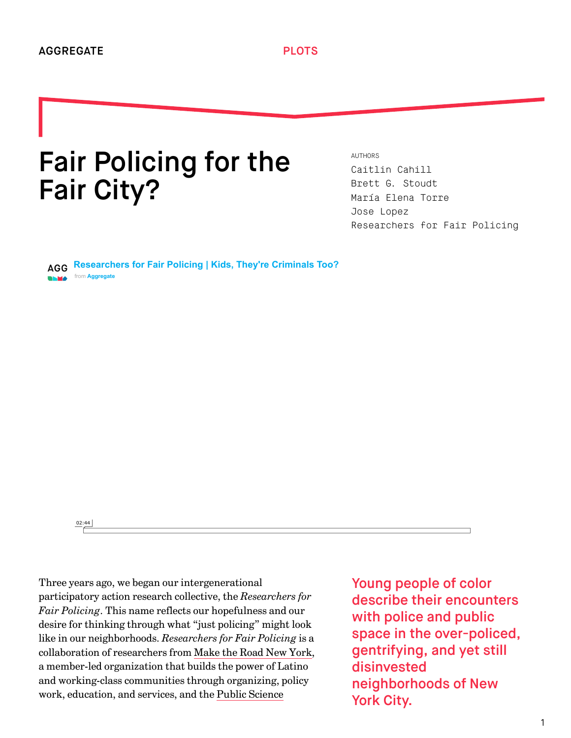## Fair Policing for the Fair City?

AUTHORS [Caitlin Cahill](http://we-aggregate.org/people/caitlin-cahill) [Brett G. Stoudt](http://we-aggregate.org/people/brett-g-stoudt) [María Elena Torre](http://we-aggregate.org/people/maria-elena-torre) [Jose Lopez](http://we-aggregate.org/people/jose-lopez) [Researchers for Fair Policing](http://we-aggregate.org/people/researchers-for-fair-policing)

**[Researchers for Fair Policing | Kids, They're Criminals Too?](https://vimeo.com/117413653?embedded=true&source=video_title&owner=24250732)** from **[Aggregate](https://vimeo.com/aggregatearchcollab?embedded=true&source=owner_name&owner=24250732)** 

02:44

Three years ago, we began our intergenerational participatory action research collective, the *Researchers for Fair Policing*. This name reflects our hopefulness and our desire for thinking through what "just policing" might look like in our neighborhoods. *Researchers for Fair Policing* is a collaboration of researchers from [Make the Road New York](http://maketheroad.org/), a member-led organization that builds the power of Latino and working-class communities through organizing, policy [work, education, and services, and the Public Science](http://publicscienceproject.org/)

Young people of color describe their encounters with police and public space in the over-policed, gentrifying, and yet still disinvested neighborhoods of New York City.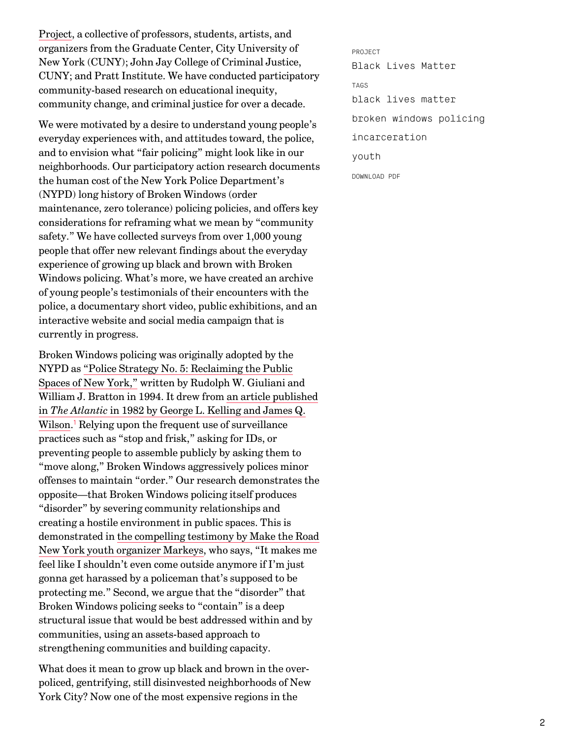[Project, a collective of professors, students, artists, an](http://publicscienceproject.org/)d organizers from the Graduate Center, City University of New York (CUNY); John Jay College of Criminal Justice, CUNY; and Pratt Institute. We have conducted participatory community-based research on educational inequity, community change, and criminal justice for over a decade.

We were motivated by a desire to understand young people's everyday experiences with, and attitudes toward, the police, and to envision what "fair policing" might look like in our neighborhoods. Our participatory action research documents the human cost of the New York Police Department's (NYPD) long history of Broken Windows (order maintenance, zero tolerance) policing policies, and offers key considerations for reframing what we mean by "community safety." We have collected surveys from over 1,000 young people that offer new relevant findings about the everyday experience of growing up black and brown with Broken Windows policing. What's more, we have created an archive of young people's testimonials of their encounters with the police, a documentary short video, public exhibitions, and an interactive website and social media campaign that is currently in progress.

<span id="page-1-0"></span>Broken Windows policing was originally adopted by the NYPD as "Police Strategy No. 5: Reclaiming the Public [Spaces of New York," written by Rudolph W. Giuliani a](https://www.ncjrs.gov/App/publications/Abstract.aspx?id=167807)nd [William J. Bratton in 1994. It drew from an article published](http://www.theatlantic.com/magazine/archive/1982/03/broken-windows/304465/) in *The Atlantic* in 1982 by George L. Kelling and James Q. Wilson.<sup>1</sup> Relying upon the frequent use of surveillance practices such as "stop and frisk," asking for IDs, or preventing people to assemble publicly by asking them to "move along," Broken Windows aggressively polices minor offenses to maintain "order." Our research demonstrates the opposite—that Broken Windows policing itself produces "disorder" by severing community relationships and creating a hostile environment in public spaces. This is [demonstrated in the compelling testimony by Make the Road](http://vimeo.com/117378331) New York youth organizer Markeys, who says, "It makes me feel like I shouldn't even come outside anymore if I'm just gonna get harassed by a policeman that's supposed to be protecting me." Second, we argue that the "disorder" that Broken Windows policing seeks to "contain" is a deep structural issue that would be best addressed within and by communities, using an assets-based approach to strengthening communities and building capacity.

What does it mean to grow up black and brown in the overpoliced, gentrifying, still disinvested neighborhoods of New York City? Now one of the most expensive regions in the

PROJECT [Black Lives Matter](http://we-aggregate.org/project/black-lives-matter) TAGS [black lives matter](http://we-aggregate.org/tag/black-lives-matter) [broken windows policing](http://we-aggregate.org/tag/broken-windows-policing) [incarceration](http://we-aggregate.org/tag/incarceration) [youth](http://we-aggregate.org/tag/youth) DOWNLOAD PDF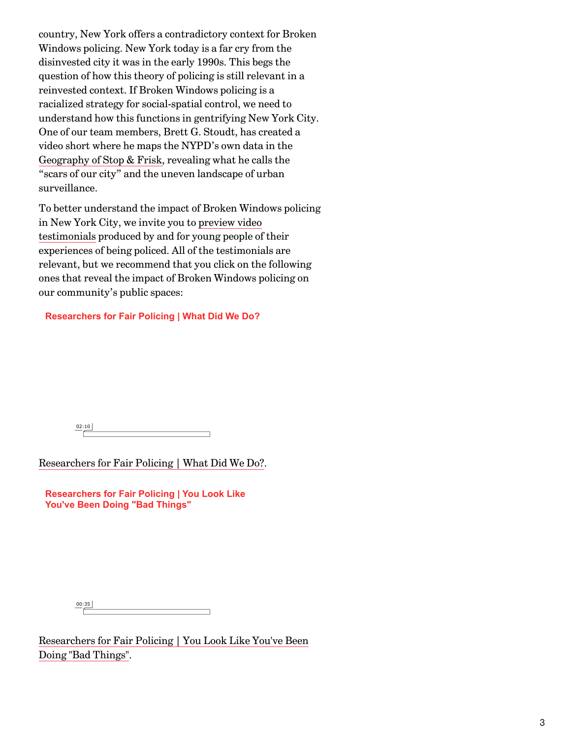country, New York offers a contradictory context for Broken Windows policing. New York today is a far cry from the disinvested city it was in the early 1990s. This begs the question of how this theory of policing is still relevant in a reinvested context. If Broken Windows policing is a racialized strategy for social-spatial control, we need to understand how this functions in gentrifying New York City. One of our team members, Brett G. Stoudt, has created a video short where he maps the NYPD's own data in the [Geography of Stop & Frisk,](http://vimeo.com/117420571) revealing what he calls the "scars of our city" and the uneven landscape of urban surveillance.

To better understand the impact of Broken Windows policing in New York City, we invite you to preview video [testimonials produced by and for young people of](http://publicscienceproject.org/researchers-for-fair-policing/) their experiences of being policed. All of the testimonials are relevant, but we recommend that you click on the following ones that reveal the impact of Broken Windows policing on our community's public spaces:

## **[Researchers for Fair Policing | What Did We Do?](https://vimeo.com/117413510?embedded=true&source=video_title&owner=24250732)**

02:10

[Researchers for Fair Policing | What Did We Do?.](http://vimeo.com/117413510)

**[Researchers for Fair Policing | You Look Like](https://vimeo.com/117413509?embedded=true&source=video_title&owner=24250732) You've Been Doing "Bad Things"**

00:35

[Researchers for Fair Policing | You Look Like You've Been](http://vimeo.com/117413509) Doing "Bad Things".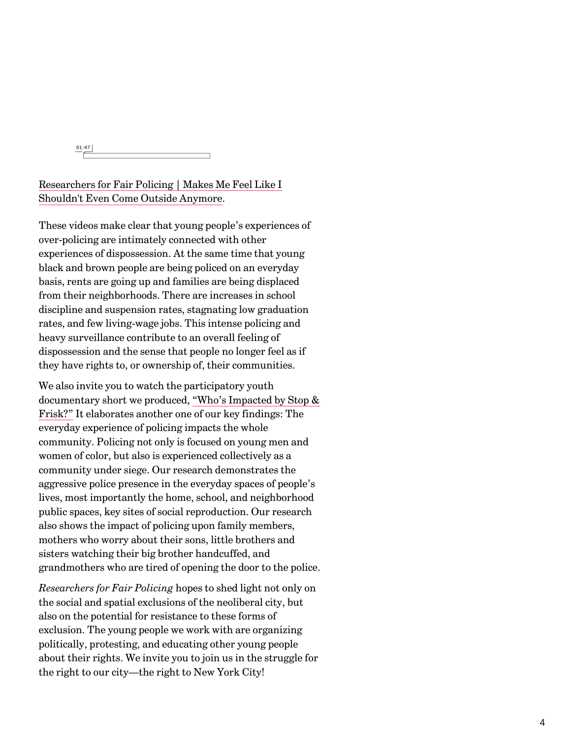01:47

[Researchers for Fair Policing | Makes Me Feel Like I](http://vimeo.com/117378331) Shouldn't Even Come Outside Anymore.

These videos make clear that young people's experiences of over-policing are intimately connected with other experiences of dispossession. At the same time that young black and brown people are being policed on an everyday basis, rents are going up and families are being displaced from their neighborhoods. There are increases in school discipline and suspension rates, stagnating low graduation rates, and few living-wage jobs. This intense policing and heavy surveillance contribute to an overall feeling of dispossession and the sense that people no longer feel as if they have rights to, or ownership of, their communities.

We also invite you to watch the participatory youth [documentary short we produced, "Who's Impacted by Stop &](http://vimeo.com/117378329) Frisk?" It elaborates another one of our key findings: The everyday experience of policing impacts the whole community. Policing not only is focused on young men and women of color, but also is experienced collectively as a community under siege. Our research demonstrates the aggressive police presence in the everyday spaces of people's lives, most importantly the home, school, and neighborhood public spaces, key sites of social reproduction. Our research also shows the impact of policing upon family members, mothers who worry about their sons, little brothers and sisters watching their big brother handcuffed, and grandmothers who are tired of opening the door to the police.

*Researchers for Fair Policing* hopes to shed light not only on the social and spatial exclusions of the neoliberal city, but also on the potential for resistance to these forms of exclusion. The young people we work with are organizing politically, protesting, and educating other young people about their rights. We invite you to join us in the struggle for the right to our city—the right to New York City!